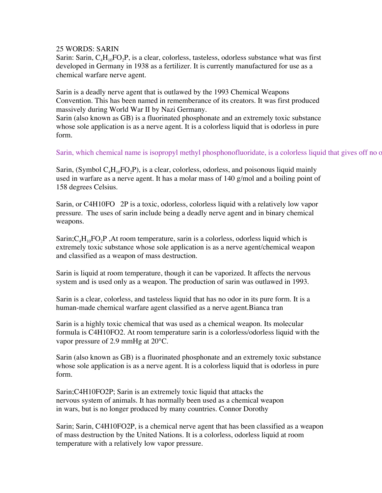## 25 WORDS: SARIN

Sarin: Sarin,  $C_4H_{10}FO_2P$ , is a clear, colorless, tasteless, odorless substance what was first developed in Germany in 1938 as a fertilizer. It is currently manufactured for use as a chemical warfare nerve agent.

Sarin is a deadly nerve agent that is outlawed by the 1993 Chemical Weapons Convention. This has been named in rememberance of its creators. It was first produced massively during World War II by Nazi Germany.

Sarin (also known as GB) is a fluorinated phosphonate and an extremely toxic substance whose sole application is as a nerve agent. It is a colorless liquid that is odorless in pure form.

Sarin, which chemical name is isopropyl methyl phosphonofluoridate, is a colorless liquid that gives off no or

Sarin, (Symbol  $C_4H_{10}FO_2P$ ), is a clear, colorless, odorless, and poisonous liquid mainly used in warfare as a nerve agent. It has a molar mass of 140 g/mol and a boiling point of 158 degrees Celsius.

Sarin, or C4H10FO 2P is a toxic, odorless, colorless liquid with a relatively low vapor pressure. The uses of sarin include being a deadly nerve agent and in binary chemical weapons.

Sarin; $C_4H_{10}FO_2P$ , At room temperature, sarin is a colorless, odorless liquid which is extremely toxic substance whose sole application is as a nerve agent/chemical weapon and classified as a weapon of mass destruction.

Sarin is liquid at room temperature, though it can be vaporized. It affects the nervous system and is used only as a weapon. The production of sarin was outlawed in 1993.

Sarin is a clear, colorless, and tasteless liquid that has no odor in its pure form. It is a human-made chemical warfare agent classified as a nerve agent.Bianca tran

Sarin is a highly toxic chemical that was used as a chemical weapon. Its molecular formula is C4H10FO2. At room temperature sarin is a colorless/odorless liquid with the vapor pressure of 2.9 mmHg at 20°C.

Sarin (also known as GB) is a fluorinated phosphonate and an extremely toxic substance whose sole application is as a nerve agent. It is a colorless liquid that is odorless in pure form.

Sarin;C4H10FO2P; Sarin is an extremely toxic liquid that attacks the nervous system of animals. It has normally been used as a chemical weapon in wars, but is no longer produced by many countries. Connor Dorothy

Sarin; Sarin, C4H10FO2P, is a chemical nerve agent that has been classified as a weapon of mass destruction by the United Nations. It is a colorless, odorless liquid at room temperature with a relatively low vapor pressure.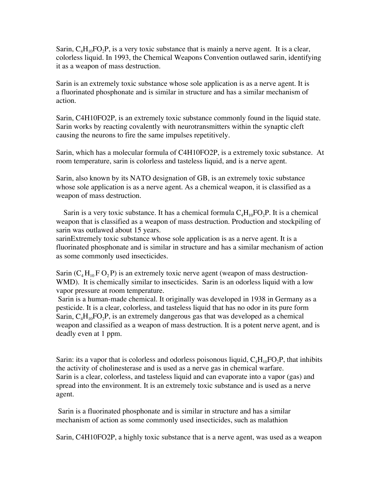Sarin,  $C_4H_{10}FO_2P$ , is a very toxic substance that is mainly a nerve agent. It is a clear, colorless liquid. In 1993, the Chemical Weapons Convention outlawed sarin, identifying it as a weapon of mass destruction.

Sarin is an extremely toxic substance whose sole application is as a nerve agent. It is a fluorinated phosphonate and is similar in structure and has a similar mechanism of action.

Sarin, C4H10FO2P, is an extremely toxic substance commonly found in the liquid state. Sarin works by reacting covalently with neurotransmitters within the synaptic cleft causing the neurons to fire the same impulses repetitively.

Sarin, which has a molecular formula of C4H10FO2P, is a extremely toxic substance. At room temperature, sarin is colorless and tasteless liquid, and is a nerve agent.

Sarin, also known by its NATO designation of GB, is an extremely toxic substance whose sole application is as a nerve agent. As a chemical weapon, it is classified as a weapon of mass destruction.

Sarin is a very toxic substance. It has a chemical formula  $C_4H_{10}FO_2P$ . It is a chemical weapon that is classified as a weapon of mass destruction. Production and stockpiling of sarin was outlawed about 15 years.

sarinExtremely toxic substance whose sole application is as a nerve agent. It is a fluorinated phosphonate and is similar in structure and has a similar mechanism of action as some commonly used insecticides.

Sarin  $(C_4 H_{10} F O_2 P)$  is an extremely toxic nerve agent (weapon of mass destruction-WMD). It is chemically similar to insecticides. Sarin is an odorless liquid with a low vapor pressure at room temperature.

 Sarin is a human-made chemical. It originally was developed in 1938 in Germany as a pesticide. It is a clear, colorless, and tasteless liquid that has no odor in its pure form Sarin,  $C_4H_{10}FO_2P$ , is an extremely dangerous gas that was developed as a chemical weapon and classified as a weapon of mass destruction. It is a potent nerve agent, and is deadly even at 1 ppm.

Sarin: its a vapor that is colorless and odorless poisonous liquid,  $C_4H_{10}FO_2P$ , that inhibits the activity of cholinesterase and is used as a nerve gas in chemical warfare. Sarin is a clear, colorless, and tasteless liquid and can evaporate into a vapor (gas) and spread into the environment. It is an extremely toxic substance and is used as a nerve agent.

 Sarin is a fluorinated phosphonate and is similar in structure and has a similar mechanism of action as some commonly used insecticides, such as malathion

Sarin, C4H10FO2P, a highly toxic substance that is a nerve agent, was used as a weapon